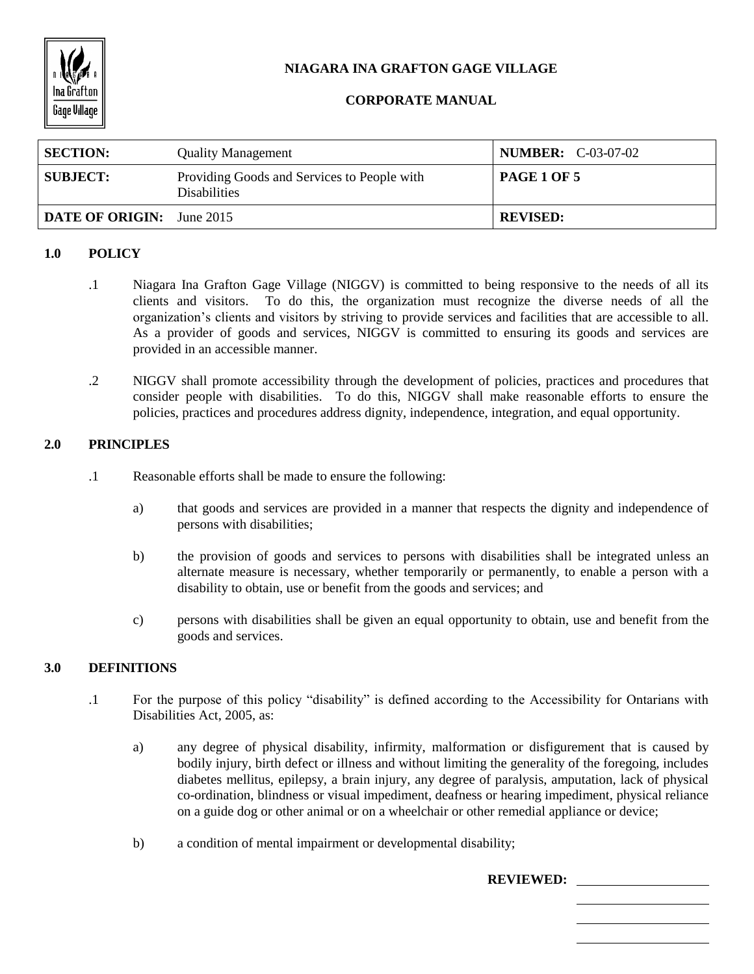

# **NIAGARA INA GRAFTON GAGE VILLAGE**

## **CORPORATE MANUAL**

| <b>SECTION:</b>                  | <b>Quality Management</b>                                          | <b>NUMBER:</b> C-03-07-02 |
|----------------------------------|--------------------------------------------------------------------|---------------------------|
| <b>SUBJECT:</b>                  | Providing Goods and Services to People with<br><b>Disabilities</b> | PAGE 1 OF 5               |
| <b>DATE OF ORIGIN:</b> June 2015 |                                                                    | <b>REVISED:</b>           |

## **1.0 POLICY**

- .1 Niagara Ina Grafton Gage Village (NIGGV) is committed to being responsive to the needs of all its clients and visitors. To do this, the organization must recognize the diverse needs of all the organization's clients and visitors by striving to provide services and facilities that are accessible to all. As a provider of goods and services, NIGGV is committed to ensuring its goods and services are provided in an accessible manner.
- .2 NIGGV shall promote accessibility through the development of policies, practices and procedures that consider people with disabilities. To do this, NIGGV shall make reasonable efforts to ensure the policies, practices and procedures address dignity, independence, integration, and equal opportunity.

## **2.0 PRINCIPLES**

- .1 Reasonable efforts shall be made to ensure the following:
	- a) that goods and services are provided in a manner that respects the dignity and independence of persons with disabilities;
	- b) the provision of goods and services to persons with disabilities shall be integrated unless an alternate measure is necessary, whether temporarily or permanently, to enable a person with a disability to obtain, use or benefit from the goods and services; and
	- c) persons with disabilities shall be given an equal opportunity to obtain, use and benefit from the goods and services.

## **3.0 DEFINITIONS**

- .1 For the purpose of this policy "disability" is defined according to the Accessibility for Ontarians with Disabilities Act, 2005, as:
	- a) any degree of physical disability, infirmity, malformation or disfigurement that is caused by bodily injury, birth defect or illness and without limiting the generality of the foregoing, includes diabetes mellitus, epilepsy, a brain injury, any degree of paralysis, amputation, lack of physical co-ordination, blindness or visual impediment, deafness or hearing impediment, physical reliance on a guide dog or other animal or on a wheelchair or other remedial appliance or device;
	- b) a condition of mental impairment or developmental disability;

**REVIEWED:**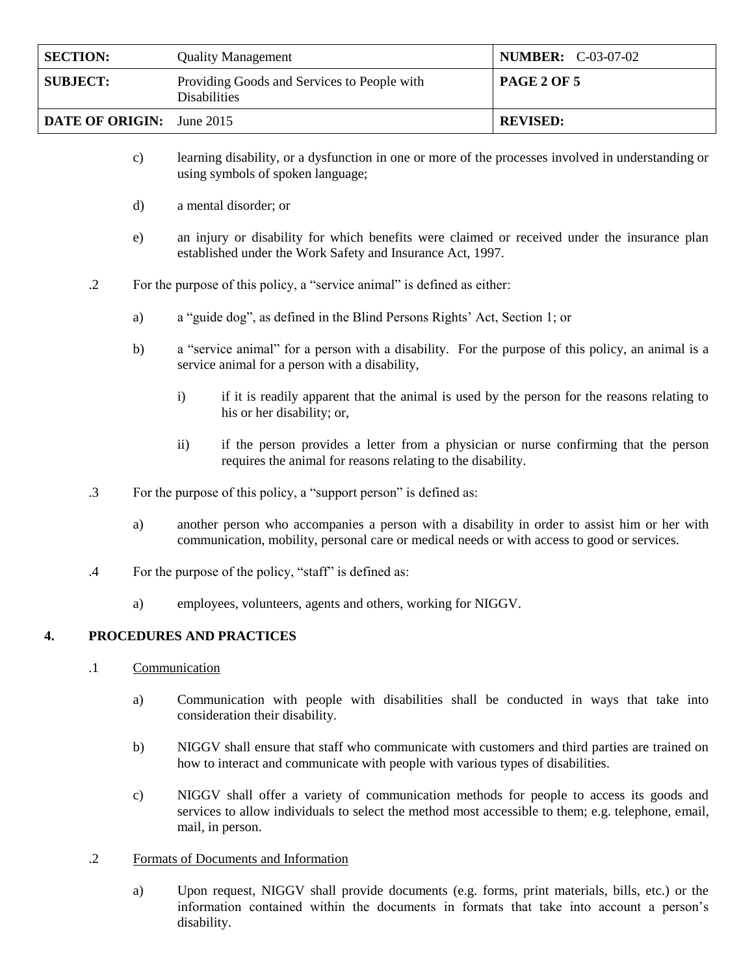| <b>SECTION:</b>                  | <b>Quality Management</b>                                          | <b>NUMBER:</b> C-03-07-02 |
|----------------------------------|--------------------------------------------------------------------|---------------------------|
| <b>SUBJECT:</b>                  | Providing Goods and Services to People with<br><b>Disabilities</b> | <b>PAGE 2 OF 5</b>        |
| <b>DATE OF ORIGIN:</b> June 2015 |                                                                    | <b>REVISED:</b>           |

- c) learning disability, or a dysfunction in one or more of the processes involved in understanding or using symbols of spoken language;
- d) a mental disorder; or
- e) an injury or disability for which benefits were claimed or received under the insurance plan established under the Work Safety and Insurance Act, 1997.

.2 For the purpose of this policy, a "service animal" is defined as either:

- a) a "guide dog", as defined in the Blind Persons Rights' Act, Section 1; or
- b) a "service animal" for a person with a disability. For the purpose of this policy, an animal is a service animal for a person with a disability,
	- i) if it is readily apparent that the animal is used by the person for the reasons relating to his or her disability; or,
	- ii) if the person provides a letter from a physician or nurse confirming that the person requires the animal for reasons relating to the disability.
- .3 For the purpose of this policy, a "support person" is defined as:
	- a) another person who accompanies a person with a disability in order to assist him or her with communication, mobility, personal care or medical needs or with access to good or services.
- .4 For the purpose of the policy, "staff" is defined as:
	- a) employees, volunteers, agents and others, working for NIGGV.

## **4. PROCEDURES AND PRACTICES**

- .1 Communication
	- a) Communication with people with disabilities shall be conducted in ways that take into consideration their disability.
	- b) NIGGV shall ensure that staff who communicate with customers and third parties are trained on how to interact and communicate with people with various types of disabilities.
	- c) NIGGV shall offer a variety of communication methods for people to access its goods and services to allow individuals to select the method most accessible to them; e.g. telephone, email, mail, in person.

## .2 Formats of Documents and Information

a) Upon request, NIGGV shall provide documents (e.g. forms, print materials, bills, etc.) or the information contained within the documents in formats that take into account a person's disability.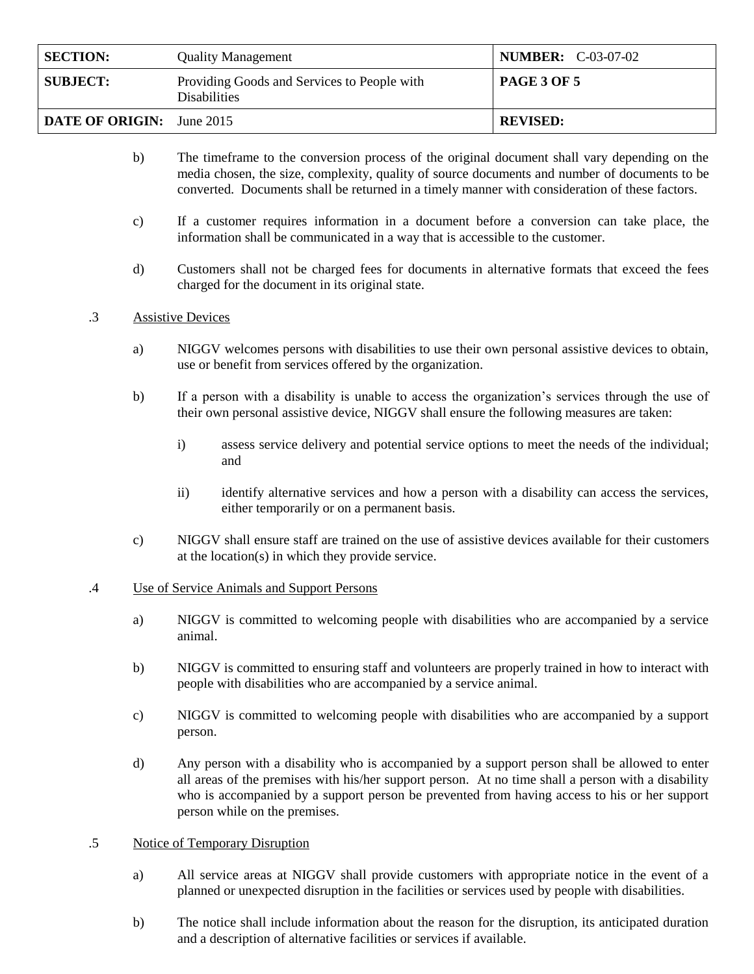| <b>SECTION:</b>                  | <b>Quality Management</b>                                          | <b>NUMBER:</b> C-03-07-02 |
|----------------------------------|--------------------------------------------------------------------|---------------------------|
| <b>SUBJECT:</b>                  | Providing Goods and Services to People with<br><b>Disabilities</b> | <b>PAGE 3 OF 5</b>        |
| <b>DATE OF ORIGIN:</b> June 2015 |                                                                    | <b>REVISED:</b>           |

- b) The timeframe to the conversion process of the original document shall vary depending on the media chosen, the size, complexity, quality of source documents and number of documents to be converted. Documents shall be returned in a timely manner with consideration of these factors.
- c) If a customer requires information in a document before a conversion can take place, the information shall be communicated in a way that is accessible to the customer.
- d) Customers shall not be charged fees for documents in alternative formats that exceed the fees charged for the document in its original state.

## .3 Assistive Devices

- a) NIGGV welcomes persons with disabilities to use their own personal assistive devices to obtain, use or benefit from services offered by the organization.
- b) If a person with a disability is unable to access the organization's services through the use of their own personal assistive device, NIGGV shall ensure the following measures are taken:
	- i) assess service delivery and potential service options to meet the needs of the individual; and
	- ii) identify alternative services and how a person with a disability can access the services, either temporarily or on a permanent basis.
- c) NIGGV shall ensure staff are trained on the use of assistive devices available for their customers at the location(s) in which they provide service.

## .4 Use of Service Animals and Support Persons

- a) NIGGV is committed to welcoming people with disabilities who are accompanied by a service animal.
- b) NIGGV is committed to ensuring staff and volunteers are properly trained in how to interact with people with disabilities who are accompanied by a service animal.
- c) NIGGV is committed to welcoming people with disabilities who are accompanied by a support person.
- d) Any person with a disability who is accompanied by a support person shall be allowed to enter all areas of the premises with his/her support person. At no time shall a person with a disability who is accompanied by a support person be prevented from having access to his or her support person while on the premises.

## .5 Notice of Temporary Disruption

- a) All service areas at NIGGV shall provide customers with appropriate notice in the event of a planned or unexpected disruption in the facilities or services used by people with disabilities.
- b) The notice shall include information about the reason for the disruption, its anticipated duration and a description of alternative facilities or services if available.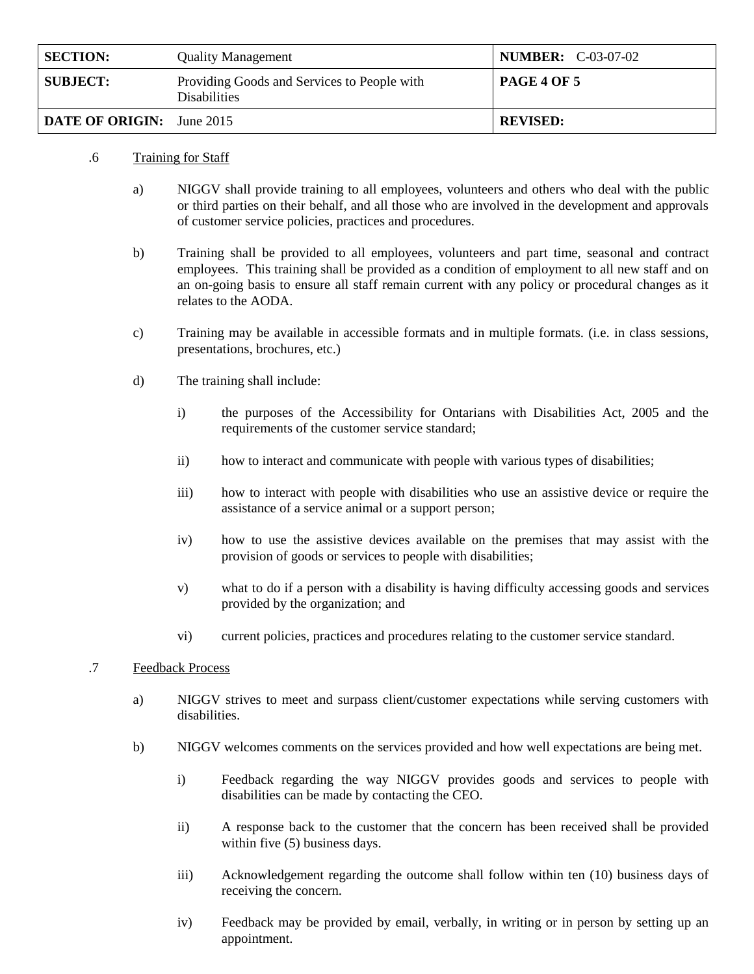| <b>SECTION:</b>                  | <b>Quality Management</b>                                          | <b>NUMBER:</b> C-03-07-02 |
|----------------------------------|--------------------------------------------------------------------|---------------------------|
| <b>SUBJECT:</b>                  | Providing Goods and Services to People with<br><b>Disabilities</b> | <b>PAGE 4 OF 5</b>        |
| <b>DATE OF ORIGIN:</b> June 2015 |                                                                    | <b>REVISED:</b>           |

## .6 Training for Staff

- a) NIGGV shall provide training to all employees, volunteers and others who deal with the public or third parties on their behalf, and all those who are involved in the development and approvals of customer service policies, practices and procedures.
- b) Training shall be provided to all employees, volunteers and part time, seasonal and contract employees. This training shall be provided as a condition of employment to all new staff and on an on-going basis to ensure all staff remain current with any policy or procedural changes as it relates to the AODA.
- c) Training may be available in accessible formats and in multiple formats. (i.e. in class sessions, presentations, brochures, etc.)
- d) The training shall include:
	- i) the purposes of the Accessibility for Ontarians with Disabilities Act, 2005 and the requirements of the customer service standard;
	- ii) how to interact and communicate with people with various types of disabilities;
	- iii) how to interact with people with disabilities who use an assistive device or require the assistance of a service animal or a support person;
	- iv) how to use the assistive devices available on the premises that may assist with the provision of goods or services to people with disabilities;
	- v) what to do if a person with a disability is having difficulty accessing goods and services provided by the organization; and
	- vi) current policies, practices and procedures relating to the customer service standard.

## .7 Feedback Process

- a) NIGGV strives to meet and surpass client/customer expectations while serving customers with disabilities.
- b) NIGGV welcomes comments on the services provided and how well expectations are being met.
	- i) Feedback regarding the way NIGGV provides goods and services to people with disabilities can be made by contacting the CEO.
	- ii) A response back to the customer that the concern has been received shall be provided within five (5) business days.
	- iii) Acknowledgement regarding the outcome shall follow within ten (10) business days of receiving the concern.
	- iv) Feedback may be provided by email, verbally, in writing or in person by setting up an appointment.